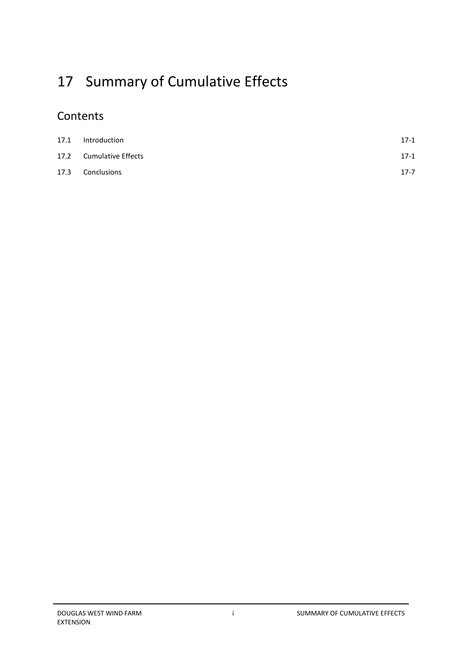# 17 Summary of Cumulative Effects

## **Contents**

| 17.1 | Introduction            | $17-1$   |
|------|-------------------------|----------|
|      | 17.2 Cumulative Effects | $17-1$   |
| 17.3 | Conclusions             | $17 - 7$ |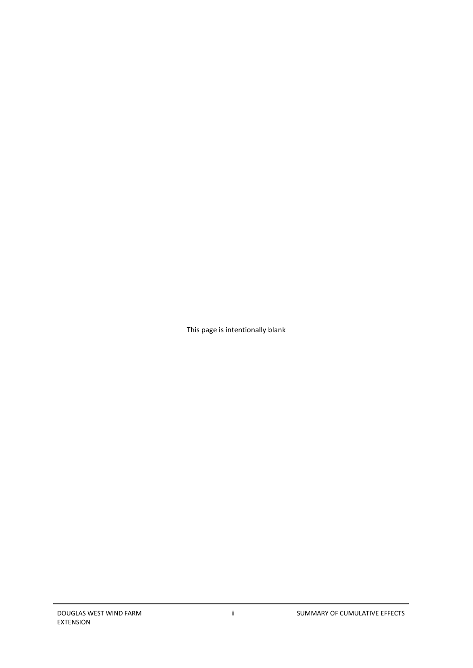This page is intentionally blank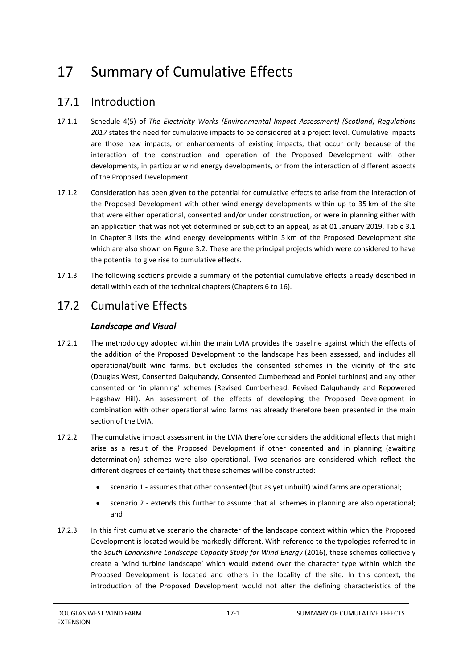## 17 Summary of Cumulative Effects

## <span id="page-2-0"></span>17.1 Introduction

- 17.1.1 Schedule 4(5) of *The Electricity Works (Environmental Impact Assessment) (Scotland) Regulations 2017* states the need for cumulative impacts to be considered at a project level. Cumulative impacts are those new impacts, or enhancements of existing impacts, that occur only because of the interaction of the construction and operation of the Proposed Development with other developments, in particular wind energy developments, or from the interaction of different aspects of the Proposed Development.
- 17.1.2 Consideration has been given to the potential for cumulative effects to arise from the interaction of the Proposed Development with other wind energy developments within up to 35 km of the site that were either operational, consented and/or under construction, or were in planning either with an application that was not yet determined or subject to an appeal, as at 01 January 2019. Table 3.1 in Chapter 3 lists the wind energy developments within 5 km of the Proposed Development site which are also shown on Figure 3.2. These are the principal projects which were considered to have the potential to give rise to cumulative effects.
- 17.1.3 The following sections provide a summary of the potential cumulative effects already described in detail within each of the technical chapters (Chapters 6 to 16).

### <span id="page-2-1"></span>17.2 Cumulative Effects

#### *Landscape and Visual*

- 17.2.1 The methodology adopted within the main LVIA provides the baseline against which the effects of the addition of the Proposed Development to the landscape has been assessed, and includes all operational/built wind farms, but excludes the consented schemes in the vicinity of the site (Douglas West, Consented Dalquhandy, Consented Cumberhead and Poniel turbines) and any other consented or 'in planning' schemes (Revised Cumberhead, Revised Dalquhandy and Repowered Hagshaw Hill). An assessment of the effects of developing the Proposed Development in combination with other operational wind farms has already therefore been presented in the main section of the LVIA.
- 17.2.2 The cumulative impact assessment in the LVIA therefore considers the additional effects that might arise as a result of the Proposed Development if other consented and in planning (awaiting determination) schemes were also operational. Two scenarios are considered which reflect the different degrees of certainty that these schemes will be constructed:
	- scenario 1 assumes that other consented (but as yet unbuilt) wind farms are operational;
	- scenario 2 extends this further to assume that all schemes in planning are also operational; and
- 17.2.3 In this first cumulative scenario the character of the landscape context within which the Proposed Development is located would be markedly different. With reference to the typologies referred to in the *South Lanarkshire Landscape Capacity Study for Wind Energy* (2016), these schemes collectively create a 'wind turbine landscape' which would extend over the character type within which the Proposed Development is located and others in the locality of the site. In this context, the introduction of the Proposed Development would not alter the defining characteristics of the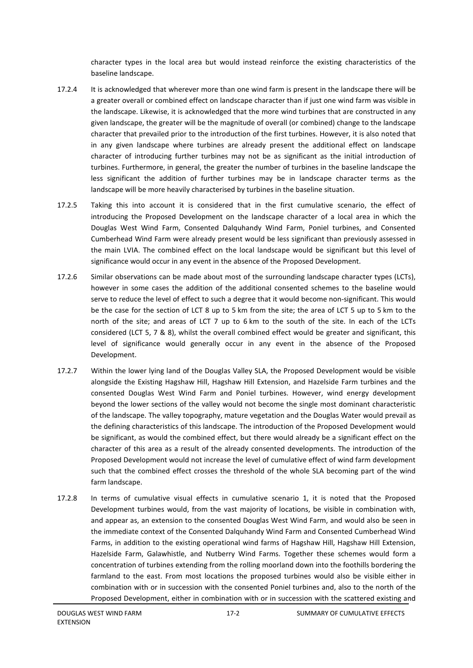character types in the local area but would instead reinforce the existing characteristics of the baseline landscape.

- 17.2.4 It is acknowledged that wherever more than one wind farm is present in the landscape there will be a greater overall or combined effect on landscape character than if just one wind farm was visible in the landscape. Likewise, it is acknowledged that the more wind turbines that are constructed in any given landscape, the greater will be the magnitude of overall (or combined) change to the landscape character that prevailed prior to the introduction of the first turbines. However, it is also noted that in any given landscape where turbines are already present the additional effect on landscape character of introducing further turbines may not be as significant as the initial introduction of turbines. Furthermore, in general, the greater the number of turbines in the baseline landscape the less significant the addition of further turbines may be in landscape character terms as the landscape will be more heavily characterised by turbines in the baseline situation.
- 17.2.5 Taking this into account it is considered that in the first cumulative scenario, the effect of introducing the Proposed Development on the landscape character of a local area in which the Douglas West Wind Farm, Consented Dalquhandy Wind Farm, Poniel turbines, and Consented Cumberhead Wind Farm were already present would be less significant than previously assessed in the main LVIA. The combined effect on the local landscape would be significant but this level of significance would occur in any event in the absence of the Proposed Development.
- 17.2.6 Similar observations can be made about most of the surrounding landscape character types (LCTs), however in some cases the addition of the additional consented schemes to the baseline would serve to reduce the level of effect to such a degree that it would become non-significant. This would be the case for the section of LCT 8 up to 5 km from the site; the area of LCT 5 up to 5 km to the north of the site; and areas of LCT 7 up to 6 km to the south of the site. In each of the LCTs considered (LCT 5, 7 & 8), whilst the overall combined effect would be greater and significant, this level of significance would generally occur in any event in the absence of the Proposed Development.
- 17.2.7 Within the lower lying land of the Douglas Valley SLA, the Proposed Development would be visible alongside the Existing Hagshaw Hill, Hagshaw Hill Extension, and Hazelside Farm turbines and the consented Douglas West Wind Farm and Poniel turbines. However, wind energy development beyond the lower sections of the valley would not become the single most dominant characteristic of the landscape. The valley topography, mature vegetation and the Douglas Water would prevail as the defining characteristics of this landscape. The introduction of the Proposed Development would be significant, as would the combined effect, but there would already be a significant effect on the character of this area as a result of the already consented developments. The introduction of the Proposed Development would not increase the level of cumulative effect of wind farm development such that the combined effect crosses the threshold of the whole SLA becoming part of the wind farm landscape.
- 17.2.8 In terms of cumulative visual effects in cumulative scenario 1, it is noted that the Proposed Development turbines would, from the vast majority of locations, be visible in combination with, and appear as, an extension to the consented Douglas West Wind Farm, and would also be seen in the immediate context of the Consented Dalquhandy Wind Farm and Consented Cumberhead Wind Farms, in addition to the existing operational wind farms of Hagshaw Hill, Hagshaw Hill Extension, Hazelside Farm, Galawhistle, and Nutberry Wind Farms. Together these schemes would form a concentration of turbines extending from the rolling moorland down into the foothills bordering the farmland to the east. From most locations the proposed turbines would also be visible either in combination with or in succession with the consented Poniel turbines and, also to the north of the Proposed Development, either in combination with or in succession with the scattered existing and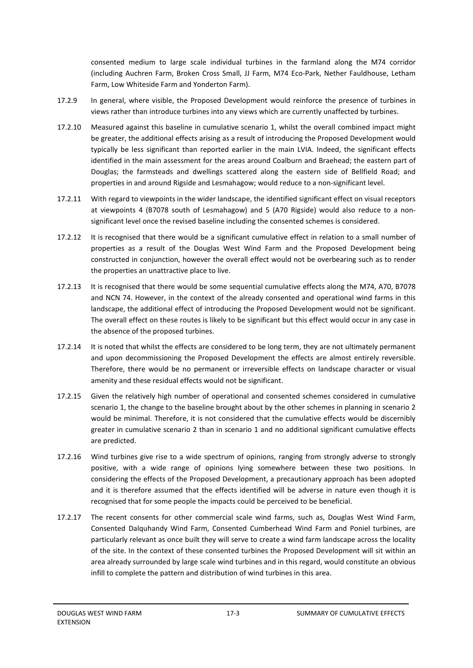consented medium to large scale individual turbines in the farmland along the M74 corridor (including Auchren Farm, Broken Cross Small, JJ Farm, M74 Eco-Park, Nether Fauldhouse, Letham Farm, Low Whiteside Farm and Yonderton Farm).

- 17.2.9 In general, where visible, the Proposed Development would reinforce the presence of turbines in views rather than introduce turbines into any views which are currently unaffected by turbines.
- 17.2.10 Measured against this baseline in cumulative scenario 1, whilst the overall combined impact might be greater, the additional effects arising as a result of introducing the Proposed Development would typically be less significant than reported earlier in the main LVIA. Indeed, the significant effects identified in the main assessment for the areas around Coalburn and Braehead; the eastern part of Douglas; the farmsteads and dwellings scattered along the eastern side of Bellfield Road; and properties in and around Rigside and Lesmahagow; would reduce to a non-significant level.
- 17.2.11 With regard to viewpoints in the wider landscape, the identified significant effect on visual receptors at viewpoints 4 (B7078 south of Lesmahagow) and 5 (A70 Rigside) would also reduce to a nonsignificant level once the revised baseline including the consented schemes is considered.
- 17.2.12 It is recognised that there would be a significant cumulative effect in relation to a small number of properties as a result of the Douglas West Wind Farm and the Proposed Development being constructed in conjunction, however the overall effect would not be overbearing such as to render the properties an unattractive place to live.
- 17.2.13 It is recognised that there would be some sequential cumulative effects along the M74, A70, B7078 and NCN 74. However, in the context of the already consented and operational wind farms in this landscape, the additional effect of introducing the Proposed Development would not be significant. The overall effect on these routes is likely to be significant but this effect would occur in any case in the absence of the proposed turbines.
- 17.2.14 It is noted that whilst the effects are considered to be long term, they are not ultimately permanent and upon decommissioning the Proposed Development the effects are almost entirely reversible. Therefore, there would be no permanent or irreversible effects on landscape character or visual amenity and these residual effects would not be significant.
- 17.2.15 Given the relatively high number of operational and consented schemes considered in cumulative scenario 1, the change to the baseline brought about by the other schemes in planning in scenario 2 would be minimal. Therefore, it is not considered that the cumulative effects would be discernibly greater in cumulative scenario 2 than in scenario 1 and no additional significant cumulative effects are predicted.
- 17.2.16 Wind turbines give rise to a wide spectrum of opinions, ranging from strongly adverse to strongly positive, with a wide range of opinions lying somewhere between these two positions. In considering the effects of the Proposed Development, a precautionary approach has been adopted and it is therefore assumed that the effects identified will be adverse in nature even though it is recognised that for some people the impacts could be perceived to be beneficial.
- 17.2.17 The recent consents for other commercial scale wind farms, such as, Douglas West Wind Farm, Consented Dalquhandy Wind Farm, Consented Cumberhead Wind Farm and Poniel turbines, are particularly relevant as once built they will serve to create a wind farm landscape across the locality of the site. In the context of these consented turbines the Proposed Development will sit within an area already surrounded by large scale wind turbines and in this regard, would constitute an obvious infill to complete the pattern and distribution of wind turbines in this area.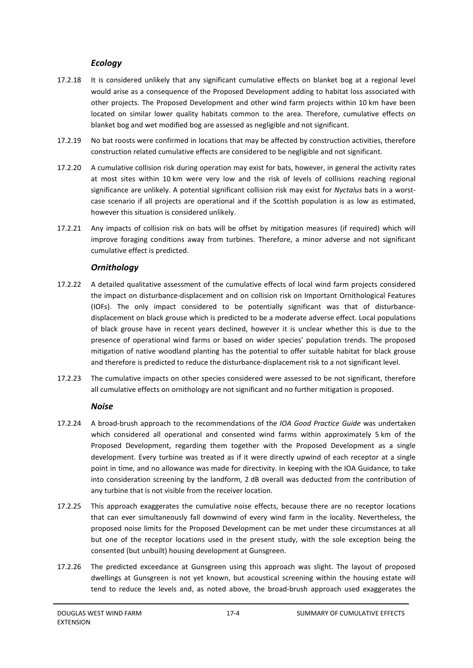#### *Ecology*

- 17.2.18 It is considered unlikely that any significant cumulative effects on blanket bog at a regional level would arise as a consequence of the Proposed Development adding to habitat loss associated with other projects. The Proposed Development and other wind farm projects within 10 km have been located on similar lower quality habitats common to the area. Therefore, cumulative effects on blanket bog and wet modified bog are assessed as negligible and not significant.
- 17.2.19 No bat roosts were confirmed in locations that may be affected by construction activities, therefore construction related cumulative effects are considered to be negligible and not significant.
- 17.2.20 A cumulative collision risk during operation may exist for bats, however, in general the activity rates at most sites within 10 km were very low and the risk of levels of collisions reaching regional significance are unlikely. A potential significant collision risk may exist for *Nyctalus* bats in a worstcase scenario if all projects are operational and if the Scottish population is as low as estimated, however this situation is considered unlikely.
- 17.2.21 Any impacts of collision risk on bats will be offset by mitigation measures (if required) which will improve foraging conditions away from turbines. Therefore, a minor adverse and not significant cumulative effect is predicted.

#### *Ornithology*

- 17.2.22 A detailed qualitative assessment of the cumulative effects of local wind farm projects considered the impact on disturbance-displacement and on collision risk on Important Ornithological Features (IOFs). The only impact considered to be potentially significant was that of disturbancedisplacement on black grouse which is predicted to be a moderate adverse effect. Local populations of black grouse have in recent years declined, however it is unclear whether this is due to the presence of operational wind farms or based on wider species' population trends. The proposed mitigation of native woodland planting has the potential to offer suitable habitat for black grouse and therefore is predicted to reduce the disturbance-displacement risk to a not significant level.
- 17.2.23 The cumulative impacts on other species considered were assessed to be not significant, therefore all cumulative effects on ornithology are not significant and no further mitigation is proposed.

#### *Noise*

- 17.2.24 A broad-brush approach to the recommendations of the *IOA Good Practice Guide* was undertaken which considered all operational and consented wind farms within approximately 5 km of the Proposed Development, regarding them together with the Proposed Development as a single development. Every turbine was treated as if it were directly upwind of each receptor at a single point in time, and no allowance was made for directivity. In keeping with the IOA Guidance, to take into consideration screening by the landform, 2 dB overall was deducted from the contribution of any turbine that is not visible from the receiver location.
- 17.2.25 This approach exaggerates the cumulative noise effects, because there are no receptor locations that can ever simultaneously fall downwind of every wind farm in the locality. Nevertheless, the proposed noise limits for the Proposed Development can be met under these circumstances at all but one of the receptor locations used in the present study, with the sole exception being the consented (but unbuilt) housing development at Gunsgreen.
- 17.2.26 The predicted exceedance at Gunsgreen using this approach was slight. The layout of proposed dwellings at Gunsgreen is not yet known, but acoustical screening within the housing estate will tend to reduce the levels and, as noted above, the broad-brush approach used exaggerates the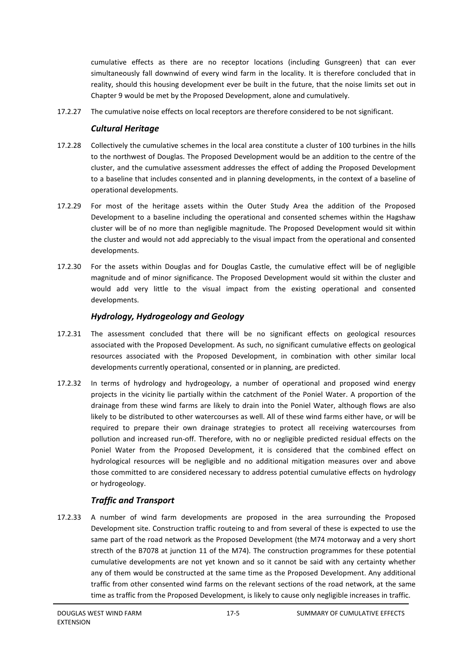cumulative effects as there are no receptor locations (including Gunsgreen) that can ever simultaneously fall downwind of every wind farm in the locality. It is therefore concluded that in reality, should this housing development ever be built in the future, that the noise limits set out in Chapter 9 would be met by the Proposed Development, alone and cumulatively.

17.2.27 The cumulative noise effects on local receptors are therefore considered to be not significant.

#### *Cultural Heritage*

- 17.2.28 Collectively the cumulative schemes in the local area constitute a cluster of 100 turbines in the hills to the northwest of Douglas. The Proposed Development would be an addition to the centre of the cluster, and the cumulative assessment addresses the effect of adding the Proposed Development to a baseline that includes consented and in planning developments, in the context of a baseline of operational developments.
- 17.2.29 For most of the heritage assets within the Outer Study Area the addition of the Proposed Development to a baseline including the operational and consented schemes within the Hagshaw cluster will be of no more than negligible magnitude. The Proposed Development would sit within the cluster and would not add appreciably to the visual impact from the operational and consented developments.
- 17.2.30 For the assets within Douglas and for Douglas Castle, the cumulative effect will be of negligible magnitude and of minor significance. The Proposed Development would sit within the cluster and would add very little to the visual impact from the existing operational and consented developments.

#### *Hydrology, Hydrogeology and Geology*

- 17.2.31 The assessment concluded that there will be no significant effects on geological resources associated with the Proposed Development. As such, no significant cumulative effects on geological resources associated with the Proposed Development, in combination with other similar local developments currently operational, consented or in planning, are predicted.
- 17.2.32 In terms of hydrology and hydrogeology, a number of operational and proposed wind energy projects in the vicinity lie partially within the catchment of the Poniel Water. A proportion of the drainage from these wind farms are likely to drain into the Poniel Water, although flows are also likely to be distributed to other watercourses as well. All of these wind farms either have, or will be required to prepare their own drainage strategies to protect all receiving watercourses from pollution and increased run-off. Therefore, with no or negligible predicted residual effects on the Poniel Water from the Proposed Development, it is considered that the combined effect on hydrological resources will be negligible and no additional mitigation measures over and above those committed to are considered necessary to address potential cumulative effects on hydrology or hydrogeology.

#### *Traffic and Transport*

17.2.33 A number of wind farm developments are proposed in the area surrounding the Proposed Development site. Construction traffic routeing to and from several of these is expected to use the same part of the road network as the Proposed Development (the M74 motorway and a very short strecth of the B7078 at junction 11 of the M74). The construction programmes for these potential cumulative developments are not yet known and so it cannot be said with any certainty whether any of them would be constructed at the same time as the Proposed Development. Any additional traffic from other consented wind farms on the relevant sections of the road network, at the same time as traffic from the Proposed Development, is likely to cause only negligible increases in traffic.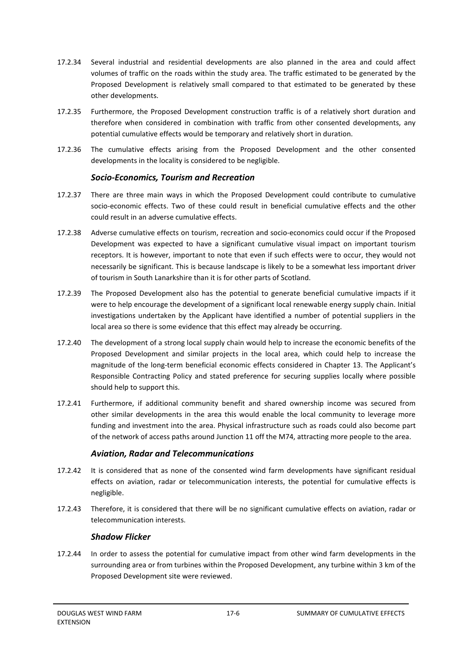- 17.2.34 Several industrial and residential developments are also planned in the area and could affect volumes of traffic on the roads within the study area. The traffic estimated to be generated by the Proposed Development is relatively small compared to that estimated to be generated by these other developments.
- 17.2.35 Furthermore, the Proposed Development construction traffic is of a relatively short duration and therefore when considered in combination with traffic from other consented developments, any potential cumulative effects would be temporary and relatively short in duration.
- 17.2.36 The cumulative effects arising from the Proposed Development and the other consented developments in the locality is considered to be negligible.

#### *Socio-Economics, Tourism and Recreation*

- 17.2.37 There are three main ways in which the Proposed Development could contribute to cumulative socio-economic effects. Two of these could result in beneficial cumulative effects and the other could result in an adverse cumulative effects.
- 17.2.38 Adverse cumulative effects on tourism, recreation and socio-economics could occur if the Proposed Development was expected to have a significant cumulative visual impact on important tourism receptors. It is however, important to note that even if such effects were to occur, they would not necessarily be significant. This is because landscape is likely to be a somewhat less important driver of tourism in South Lanarkshire than it is for other parts of Scotland.
- 17.2.39 The Proposed Development also has the potential to generate beneficial cumulative impacts if it were to help encourage the development of a significant local renewable energy supply chain. Initial investigations undertaken by the Applicant have identified a number of potential suppliers in the local area so there is some evidence that this effect may already be occurring.
- 17.2.40 The development of a strong local supply chain would help to increase the economic benefits of the Proposed Development and similar projects in the local area, which could help to increase the magnitude of the long-term beneficial economic effects considered in Chapter 13. The Applicant's Responsible Contracting Policy and stated preference for securing supplies locally where possible should help to support this.
- 17.2.41 Furthermore, if additional community benefit and shared ownership income was secured from other similar developments in the area this would enable the local community to leverage more funding and investment into the area. Physical infrastructure such as roads could also become part of the network of access paths around Junction 11 off the M74, attracting more people to the area.

#### *Aviation, Radar and Telecommunications*

- 17.2.42 It is considered that as none of the consented wind farm developments have significant residual effects on aviation, radar or telecommunication interests, the potential for cumulative effects is negligible.
- 17.2.43 Therefore, it is considered that there will be no significant cumulative effects on aviation, radar or telecommunication interests.

#### *Shadow Flicker*

17.2.44 In order to assess the potential for cumulative impact from other wind farm developments in the surrounding area or from turbines within the Proposed Development, any turbine within 3 km of the Proposed Development site were reviewed.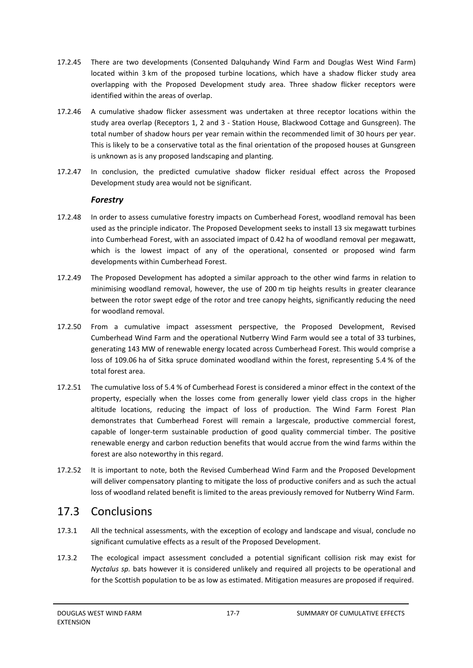- 17.2.45 There are two developments (Consented Dalquhandy Wind Farm and Douglas West Wind Farm) located within 3 km of the proposed turbine locations, which have a shadow flicker study area overlapping with the Proposed Development study area. Three shadow flicker receptors were identified within the areas of overlap.
- 17.2.46 A cumulative shadow flicker assessment was undertaken at three receptor locations within the study area overlap (Receptors 1, 2 and 3 - Station House, Blackwood Cottage and Gunsgreen). The total number of shadow hours per year remain within the recommended limit of 30 hours per year. This is likely to be a conservative total as the final orientation of the proposed houses at Gunsgreen is unknown as is any proposed landscaping and planting.
- 17.2.47 In conclusion, the predicted cumulative shadow flicker residual effect across the Proposed Development study area would not be significant.

#### *Forestry*

- 17.2.48 In order to assess cumulative forestry impacts on Cumberhead Forest, woodland removal has been used as the principle indicator. The Proposed Development seeks to install 13 six megawatt turbines into Cumberhead Forest, with an associated impact of 0.42 ha of woodland removal per megawatt, which is the lowest impact of any of the operational, consented or proposed wind farm developments within Cumberhead Forest.
- 17.2.49 The Proposed Development has adopted a similar approach to the other wind farms in relation to minimising woodland removal, however, the use of 200 m tip heights results in greater clearance between the rotor swept edge of the rotor and tree canopy heights, significantly reducing the need for woodland removal.
- 17.2.50 From a cumulative impact assessment perspective, the Proposed Development, Revised Cumberhead Wind Farm and the operational Nutberry Wind Farm would see a total of 33 turbines, generating 143 MW of renewable energy located across Cumberhead Forest. This would comprise a loss of 109.06 ha of Sitka spruce dominated woodland within the forest, representing 5.4 % of the total forest area.
- 17.2.51 The cumulative loss of 5.4 % of Cumberhead Forest is considered a minor effect in the context of the property, especially when the losses come from generally lower yield class crops in the higher altitude locations, reducing the impact of loss of production. The Wind Farm Forest Plan demonstrates that Cumberhead Forest will remain a largescale, productive commercial forest, capable of longer-term sustainable production of good quality commercial timber. The positive renewable energy and carbon reduction benefits that would accrue from the wind farms within the forest are also noteworthy in this regard.
- 17.2.52 It is important to note, both the Revised Cumberhead Wind Farm and the Proposed Development will deliver compensatory planting to mitigate the loss of productive conifers and as such the actual loss of woodland related benefit is limited to the areas previously removed for Nutberry Wind Farm.

## <span id="page-8-0"></span>17.3 Conclusions

- 17.3.1 All the technical assessments, with the exception of ecology and landscape and visual, conclude no significant cumulative effects as a result of the Proposed Development.
- 17.3.2 The ecological impact assessment concluded a potential significant collision risk may exist for *Nyctalus sp.* bats however it is considered unlikely and required all projects to be operational and for the Scottish population to be as low as estimated. Mitigation measures are proposed if required.